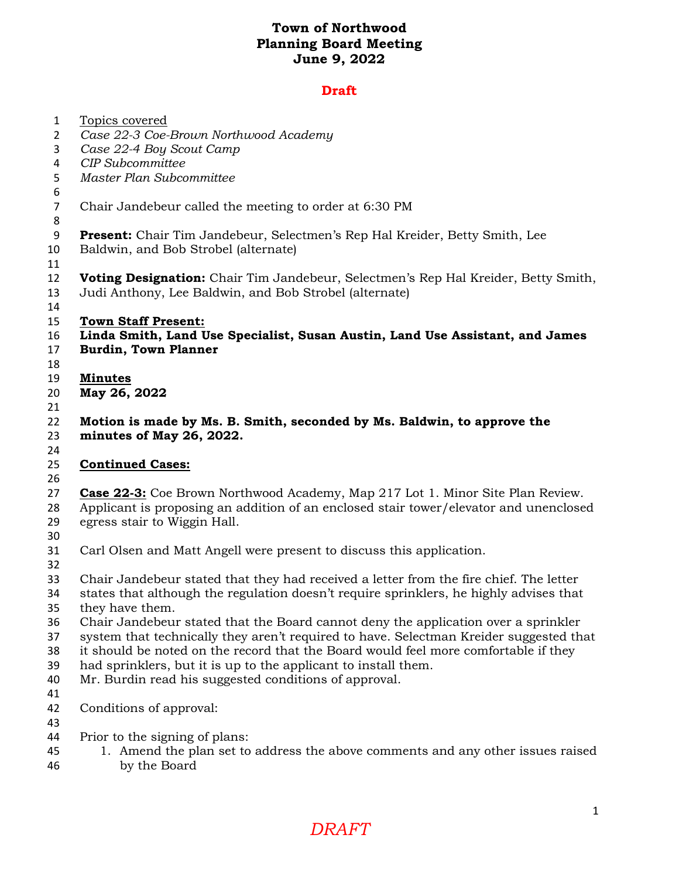# **Draft**

| $\mathbf{1}$   | Topics covered                                                                         |
|----------------|----------------------------------------------------------------------------------------|
| 2              | Case 22-3 Coe-Brown Northwood Academy                                                  |
| 3              | Case 22-4 Boy Scout Camp                                                               |
| 4              | <b>CIP</b> Subcommittee                                                                |
| 5              | Master Plan Subcommittee                                                               |
| 6              |                                                                                        |
| $\overline{7}$ | Chair Jandebeur called the meeting to order at 6:30 PM                                 |
| 8              |                                                                                        |
| 9              | Present: Chair Tim Jandebeur, Selectmen's Rep Hal Kreider, Betty Smith, Lee            |
| 10             | Baldwin, and Bob Strobel (alternate)                                                   |
| 11             |                                                                                        |
| 12             | Voting Designation: Chair Tim Jandebeur, Selectmen's Rep Hal Kreider, Betty Smith,     |
| 13             | Judi Anthony, Lee Baldwin, and Bob Strobel (alternate)                                 |
| 14             |                                                                                        |
| 15             | <b>Town Staff Present:</b>                                                             |
| 16             | Linda Smith, Land Use Specialist, Susan Austin, Land Use Assistant, and James          |
| 17             | <b>Burdin, Town Planner</b>                                                            |
| 18             |                                                                                        |
| 19             | <b>Minutes</b>                                                                         |
| 20             | May 26, 2022                                                                           |
| 21             |                                                                                        |
| 22             | Motion is made by Ms. B. Smith, seconded by Ms. Baldwin, to approve the                |
| 23             | minutes of May 26, 2022.                                                               |
| 24             |                                                                                        |
| 25             | <b>Continued Cases:</b>                                                                |
| 26             |                                                                                        |
| 27             | <b>Case 22-3:</b> Coe Brown Northwood Academy, Map 217 Lot 1. Minor Site Plan Review.  |
| 28             | Applicant is proposing an addition of an enclosed stair tower/elevator and unenclosed  |
| 29             | egress stair to Wiggin Hall.                                                           |
| 30             |                                                                                        |
| 31             | Carl Olsen and Matt Angell were present to discuss this application.                   |
| 32             |                                                                                        |
| 33             | Chair Jandebeur stated that they had received a letter from the fire chief. The letter |
| 34             | states that although the regulation doesn't require sprinklers, he highly advises that |
| 35             | they have them.                                                                        |
| 36             | Chair Jandebeur stated that the Board cannot deny the application over a sprinkler     |
| 37             | system that technically they aren't required to have. Selectman Kreider suggested that |
| 38             | it should be noted on the record that the Board would feel more comfortable if they    |
| 39             | had sprinklers, but it is up to the applicant to install them.                         |
| 40             | Mr. Burdin read his suggested conditions of approval.                                  |
| 41             |                                                                                        |
| 42             | Conditions of approval:                                                                |
| 43             |                                                                                        |
| 44             | Prior to the signing of plans:                                                         |
| 45             | 1. Amend the plan set to address the above comments and any other issues raised        |
| 46             | by the Board                                                                           |
|                |                                                                                        |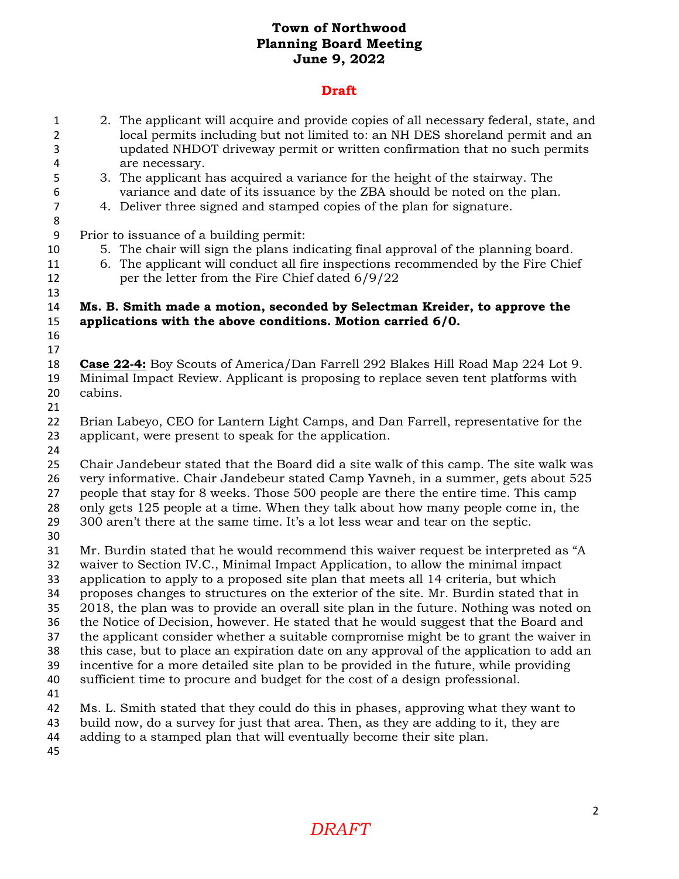#### **Draft**

- 2. The applicant will acquire and provide copies of all necessary federal, state, and local permits including but not limited to: an NH DES shoreland permit and an updated NHDOT driveway permit or written confirmation that no such permits are necessary.
- 3. The applicant has acquired a variance for the height of the stairway. The variance and date of its issuance by the ZBA should be noted on the plan.
- 4. Deliver three signed and stamped copies of the plan for signature.

Prior to issuance of a building permit:

- 5. The chair will sign the plans indicating final approval of the planning board.
- 6. The applicant will conduct all fire inspections recommended by the Fire Chief per the letter from the Fire Chief dated 6/9/22

### **Ms. B. Smith made a motion, seconded by Selectman Kreider, to approve the applications with the above conditions. Motion carried 6/0.**

 

 **Case 22-4:** Boy Scouts of America/Dan Farrell 292 Blakes Hill Road Map 224 Lot 9. Minimal Impact Review. Applicant is proposing to replace seven tent platforms with cabins.

 Brian Labeyo, CEO for Lantern Light Camps, and Dan Farrell, representative for the applicant, were present to speak for the application.

 Chair Jandebeur stated that the Board did a site walk of this camp. The site walk was very informative. Chair Jandebeur stated Camp Yavneh, in a summer, gets about 525 people that stay for 8 weeks. Those 500 people are there the entire time. This camp only gets 125 people at a time. When they talk about how many people come in, the 300 aren't there at the same time. It's a lot less wear and tear on the septic.

 Mr. Burdin stated that he would recommend this waiver request be interpreted as "A waiver to Section IV.C., Minimal Impact Application, to allow the minimal impact

application to apply to a proposed site plan that meets all 14 criteria, but which

proposes changes to structures on the exterior of the site. Mr. Burdin stated that in

2018, the plan was to provide an overall site plan in the future. Nothing was noted on

 the Notice of Decision, however. He stated that he would suggest that the Board and the applicant consider whether a suitable compromise might be to grant the waiver in

this case, but to place an expiration date on any approval of the application to add an

incentive for a more detailed site plan to be provided in the future, while providing

sufficient time to procure and budget for the cost of a design professional.

Ms. L. Smith stated that they could do this in phases, approving what they want to

- build now, do a survey for just that area. Then, as they are adding to it, they are
- adding to a stamped plan that will eventually become their site plan.
- 

# *DRAFT*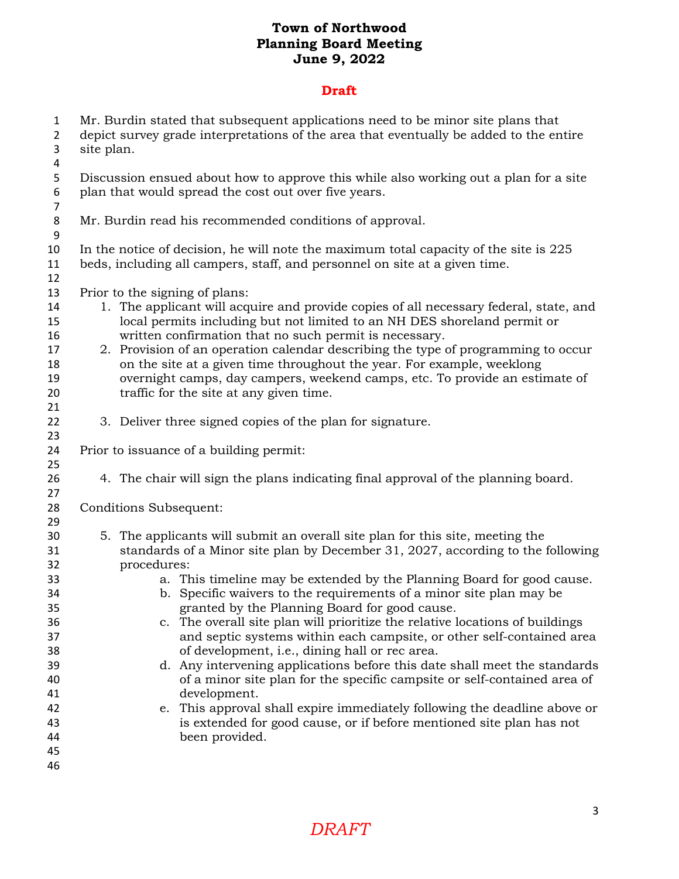### **Draft**

- Mr. Burdin stated that subsequent applications need to be minor site plans that depict survey grade interpretations of the area that eventually be added to the entire site plan.
- Discussion ensued about how to approve this while also working out a plan for a site plan that would spread the cost out over five years.
- Mr. Burdin read his recommended conditions of approval.
- In the notice of decision, he will note the maximum total capacity of the site is 225 beds, including all campers, staff, and personnel on site at a given time.
- Prior to the signing of plans:

- 14 1. The applicant will acquire and provide copies of all necessary federal, state, and local permits including but not limited to an NH DES shoreland permit or written confirmation that no such permit is necessary.
- 2. Provision of an operation calendar describing the type of programming to occur on the site at a given time throughout the year. For example, weeklong overnight camps, day campers, weekend camps, etc. To provide an estimate of traffic for the site at any given time.
- 3. Deliver three signed copies of the plan for signature.
- Prior to issuance of a building permit:
- 4. The chair will sign the plans indicating final approval of the planning board.

Conditions Subsequent:

- 5. The applicants will submit an overall site plan for this site, meeting the standards of a Minor site plan by December 31, 2027, according to the following procedures:
- a. This timeline may be extended by the Planning Board for good cause. b. Specific waivers to the requirements of a minor site plan may be granted by the Planning Board for good cause.
- c. The overall site plan will prioritize the relative locations of buildings and septic systems within each campsite, or other self-contained area of development, i.e., dining hall or rec area.
- d. Any intervening applications before this date shall meet the standards of a minor site plan for the specific campsite or self-contained area of development.
- e. This approval shall expire immediately following the deadline above or is extended for good cause, or if before mentioned site plan has not been provided.
- 

*DRAFT*